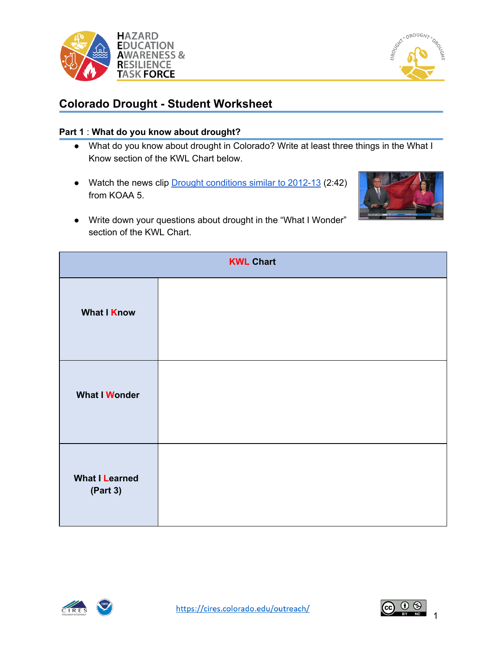



# **Colorado Drought - Student Worksheet**

## **Part 1** : **What do you know about drought?**

- What do you know about drought in Colorado? Write at least three things in the What I Know section of the KWL Chart below.
- Watch the news clip Drought [conditions](https://www.youtube.com/watch?v=7NERthvNN_I) similar to 2012-13 (2:42) from KOAA 5.



● Write down your questions about drought in the "What I Wonder" section of the KWL Chart.

| <b>KWL Chart</b>                  |  |  |  |  |  |  |  |  |
|-----------------------------------|--|--|--|--|--|--|--|--|
| <b>What I Know</b>                |  |  |  |  |  |  |  |  |
| <b>What I Wonder</b>              |  |  |  |  |  |  |  |  |
| <b>What I Learned</b><br>(Part 3) |  |  |  |  |  |  |  |  |





1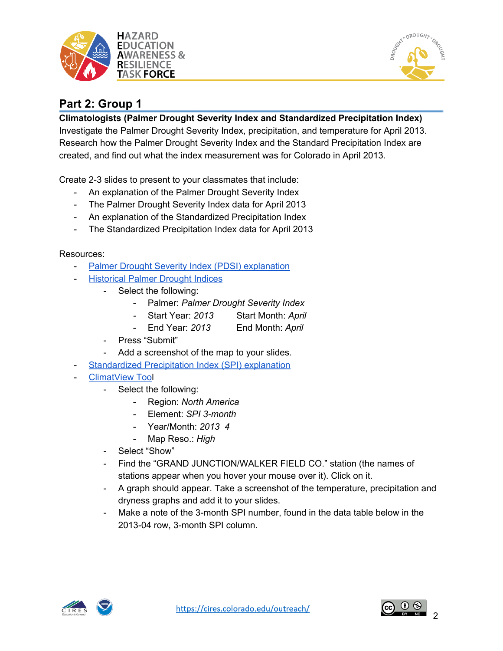



# **Part 2: Group 1**

## **Climatologists (Palmer Drought Severity Index and Standardized Precipitation Index)**

Investigate the Palmer Drought Severity Index, precipitation, and temperature for April 2013. Research how the Palmer Drought Severity Index and the Standard Precipitation Index are created, and find out what the index measurement was for Colorado in April 2013.

Create 2-3 slides to present to your classmates that include:

- An explanation of the Palmer Drought Severity Index
- The Palmer Drought Severity Index data for April 2013
- An explanation of the Standardized Precipitation Index
- The Standardized Precipitation Index data for April 2013

- Palmer Drought Severity Index (PDSI) [explanation](https://www.droughtmanagement.info/palmer-drought-severity-index-pdsi/)
- [Historical](https://www.ncdc.noaa.gov/temp-and-precip/drought/historical-palmers/psi/201304-201304) Palmer Drought Indices
	- Select the following:
		- Palmer: *Palmer Drought Severity Index*
			- *-* Start Year: *2013* Start Month: *April*
		- End Year: *2013* End Month: *April*
	- Press "Submit"
	- Add a screenshot of the map to your slides.
	- [Standardized](https://www.droughtmanagement.info/standardized-precipitation-index-spi/) Precipitation Index (SPI) explanation
- [ClimatView](http://ds.data.jma.go.jp/tcc/tcc/products/climate/climatview/frame.php?&s=1&r=0&d=0&y=2019&m=2&e=8&t=0&l=0&k=0&s=1) Tool
	- Select the following:
		- Region: *North America*
		- Element: *SPI 3-month*
		- Year/Month: *2013 4*
		- Map Reso.: *High*
	- Select "Show"
	- Find the "GRAND JUNCTION/WALKER FIELD CO." station (the names of stations appear when you hover your mouse over it). Click on it.
	- A graph should appear. Take a screenshot of the temperature, precipitation and dryness graphs and add it to your slides.
	- Make a note of the 3-month SPI number, found in the data table below in the 2013-04 row, 3-month SPI column.



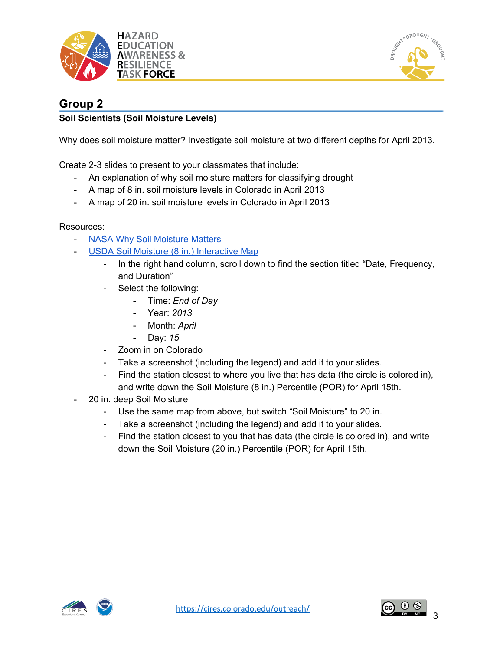



# **Group 2**

## **Soil Scientists (Soil Moisture Levels)**

Why does soil moisture matter? Investigate soil moisture at two different depths for April 2013.

Create 2-3 slides to present to your classmates that include:

- An explanation of why soil moisture matters for classifying drought
- A map of 8 in. soil moisture levels in Colorado in April 2013
- A map of 20 in. soil moisture levels in Colorado in April 2013

- NASA Why Soil [Moisture](https://smap.jpl.nasa.gov/mission/why-it-matters/) Matters
- USDA Soil Moisture (8 in.) [Interactive](https://www.nrcs.usda.gov/wps/portal/wcc/home/quicklinks/imap#version=115&elements=&networks=SCAN&states=!&counties=!&hucs=&minElevation=&maxElevation=&elementSelectType=all&activeOnly=true&activeForecastPointsOnly=false&hucLabels=false&hucIdLabels=false&hucParameterLabels=false&stationLabels=&overlays=&hucOverlays=&basinOpacity=100&basinNoDataOpacity=100&basemapOpacity=100&maskOpacity=0&mode=data&openSections=dataElement,parameter,date,basin,elements,location,networks&controlsOpen=true&popup=&popupMulti=&base=esriNgwm&displayType=station&basinType=6&dataElement=SMS&depth=-8¶meter=OBS&frequency=DAILY&duration=I&customDuration=&dayPart=E&year=2020&month=5&day=21&monthPart=E&forecastPubMonth=5&forecastPubDay=1&forecastExceedance=50&seqColor=1&divColor=3&scaleType=D&scaleMin=&scaleMax=&referencePeriodType=POR&referenceBegin=1981&referenceEnd=2010&minimumYears=20&hucAssociations=true&lat=32.44&lon=-95.45&zoom=4.0) Map
	- In the right hand column, scroll down to find the section titled "Date, Frequency, and Duration"
	- Select the following:
		- Time: *End of Day*
		- Year: *2013*
		- Month: April
		- Day: *15*
	- Zoom in on Colorado
	- Take a screenshot (including the legend) and add it to your slides.
	- Find the station closest to where you live that has data (the circle is colored in), and write down the Soil Moisture (8 in.) Percentile (POR) for April 15th.
- 20 in. deep Soil Moisture
	- Use the same map from above, but switch "Soil Moisture" to 20 in.
	- Take a screenshot (including the legend) and add it to your slides.
	- Find the station closest to you that has data (the circle is colored in), and write down the Soil Moisture (20 in.) Percentile (POR) for April 15th.



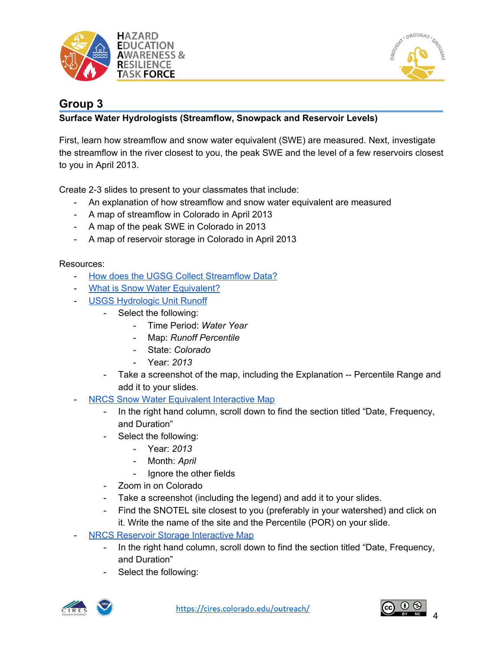



# **Group 3**

## **Surface Water Hydrologists (Streamflow, Snowpack and Reservoir Levels)**

First, learn how streamflow and snow water equivalent (SWE) are measured. Next, investigate the streamflow in the river closest to you, the peak SWE and the level of a few reservoirs closest to you in April 2013.

Create 2-3 slides to present to your classmates that include:

- An explanation of how streamflow and snow water equivalent are measured
- A map of streamflow in Colorado in April 2013
- A map of the peak SWE in Colorado in 2013
- A map of reservoir storage in Colorado in April 2013

- How does the UGSG Collect [Streamflow](https://www.usgs.gov/special-topic/water-science-school/science/how-does-usgs-collect-streamflow-data?qt-science_center_objects=0#qt-science_center_objects) Data?
- What is Snow Water [Equivalent?](https://www.nrcs.usda.gov/wps/portal/nrcs/detail/or/snow/?cid=nrcs142p2_046155)
- USGS [Hydrologic](https://waterwatch.usgs.gov/index.php?id=romap3) Unit Runoff
	- Select the following:
		- Time Period: *Water Year*
		- Map: *Runoff Percentile*
		- State: *Colorado*
		- Year: *2013*
	- Take a screenshot of the map, including the Explanation -- Percentile Range and add it to your slides.
- NRCS Snow Water [Equivalent](https://www.nrcs.usda.gov/wps/portal/wcc/home/quicklinks/imap#version=115&elements=&networks=SNTL,SCAN,SNTLT&states=!&counties=!&hucs=&minElevation=&maxElevation=&elementSelectType=all&activeOnly=true&activeForecastPointsOnly=false&hucLabels=false&hucIdLabels=false&hucParameterLabels=false&stationLabels=&overlays=&hucOverlays=&basinOpacity=100&basinNoDataOpacity=100&basemapOpacity=100&maskOpacity=0&mode=data&openSections=dataElement,parameter,date,basin,options,elements,location,networks&controlsOpen=true&popup=&popupMulti=&base=esriNgwm&displayType=station&basinType=6&dataElement=WTEQP&depth=-2¶meter=PERCENTILE&frequency=DAILY&duration=I&customDuration=&dayPart=E&year=2013&month=4&day=10&monthPart=E&forecastPubMonth=3&forecastPubDay=1&forecastExceedance=50&seqColor=1&divColor=3&scaleType=D&scaleMin=&scaleMax=&referencePeriodType=POR&referenceBegin=1981&referenceEnd=2010&minimumYears=10&hucAssociations=true&lat=39.229&lon=-104.180&zoom=7.0) Interactive Map
	- In the right hand column, scroll down to find the section titled "Date, Frequency, and Duration"
	- Select the following:
		- Year: *2013*
		- Month: April
		- Ignore the other fields
	- Zoom in on Colorado
	- Take a screenshot (including the legend) and add it to your slides.
	- Find the SNOTEL site closest to you (preferably in your watershed) and click on it. Write the name of the site and the Percentile (POR) on your slide.
- **NRCS Reservoir Storage [Interactive](https://www.nrcs.usda.gov/wps/portal/wcc/home/quicklinks/imap#version=115&elements=&networks=!&states=!&counties=!&hucs=&minElevation=&maxElevation=&elementSelectType=all&activeOnly=true&activeForecastPointsOnly=false&hucLabels=false&hucIdLabels=false&hucParameterLabels=false&stationLabels=&overlays=&hucOverlays=&basinOpacity=100&basinNoDataOpacity=100&basemapOpacity=100&maskOpacity=0&mode=data&openSections=dataElement,parameter,date,basin,elements,location,networks&controlsOpen=true&popup=&popupMulti=&base=esriNgwm&displayType=station&basinType=6&dataElement=RESC&depth=-8¶meter=PCTAVG&frequency=MONTHLY&duration=I&customDuration=1&dayPart=E&year=2020&month=2&day=10&monthPart=E&forecastPubMonth=3&forecastPubDay=1&forecastExceedance=50&seqColor=1&divColor=3&scaleType=D&scaleMin=&scaleMax=&referencePeriodType=POR&referenceBegin=1981&referenceEnd=2010&minimumYears=20&hucAssociations=true&lat=47.33&lon=-121.83&zoom=4.0) Map** 
	- In the right hand column, scroll down to find the section titled "Date, Frequency, and Duration"
	- Select the following:



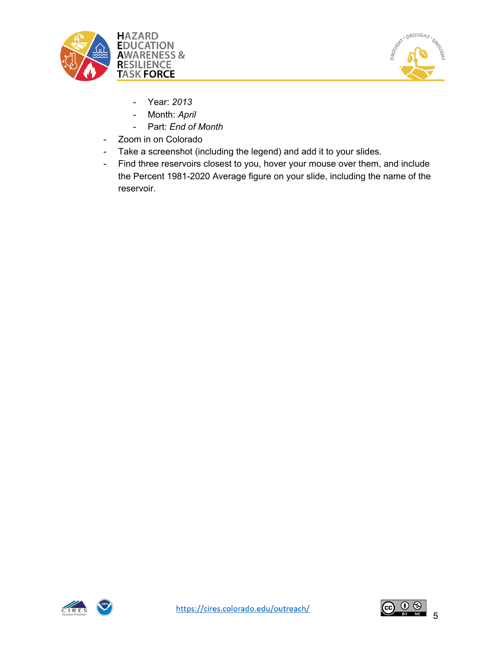



- Year: *2013*
- Month: *April*
- Part: *End of Month*
- Zoom in on Colorado
- Take a screenshot (including the legend) and add it to your slides.
- Find three reservoirs closest to you, hover your mouse over them, and include the Percent 1981-2020 Average figure on your slide, including the name of the reservoir.



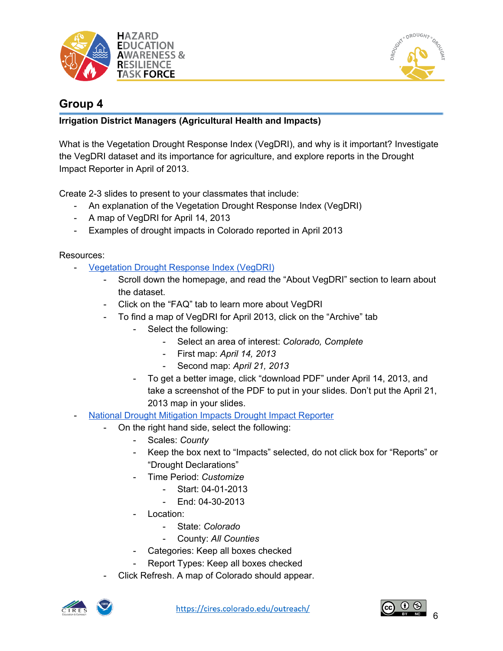



# **Group 4**

## **Irrigation District Managers (Agricultural Health and Impacts)**

What is the Vegetation Drought Response Index (VegDRI), and why is it important? Investigate the VegDRI dataset and its importance for agriculture, and explore reports in the Drought Impact Reporter in April of 2013.

Create 2-3 slides to present to your classmates that include:

- An explanation of the Vegetation Drought Response Index (VegDRI)
- A map of VegDRI for April 14, 2013
- Examples of drought impacts in Colorado reported in April 2013

- [Vegetation](https://vegdri.unl.edu/) Drought Response Index (VegDRI)
	- Scroll down the homepage, and read the "About VegDRI" section to learn about the dataset.
	- Click on the "FAQ" tab to learn more about VegDRI
	- To find a map of VegDRI for April 2013, click on the "Archive" tab
		- Select the following:
			- Select an area of interest: *Colorado, Complete*
			- First map: *April 14, 2013*
			- Second map: *April 21, 2013*
		- To get a better image, click "download PDF" under April 14, 2013, and take a screenshot of the PDF to put in your slides. Don't put the April 21, 2013 map in your slides.
- National Drought [Mitigation](https://droughtreporter.unl.edu/map/) Impacts Drought Impact Reporter
	- On the right hand side, select the following:
		- Scales: *County*
		- Keep the box next to "Impacts" selected, do not click box for "Reports" or "Drought Declarations"
		- Time Period: *Customize*
			- Start: 04-01-2013
			- End: 04-30-2013
		- Location:
			- State: *Colorado*
			- County: *All Counties*
		- Categories: Keep all boxes checked
		- Report Types: Keep all boxes checked
	- Click Refresh. A map of Colorado should appear.



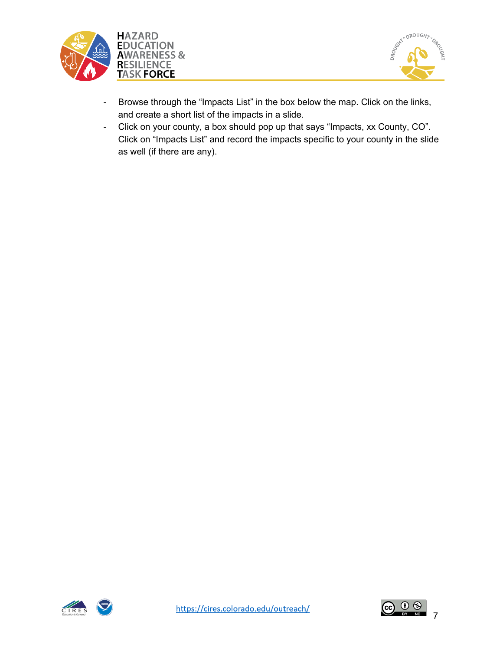



- Browse through the "Impacts List" in the box below the map. Click on the links, and create a short list of the impacts in a slide.
- Click on your county, a box should pop up that says "Impacts, xx County, CO". Click on "Impacts List" and record the impacts specific to your county in the slide as well (if there are any).



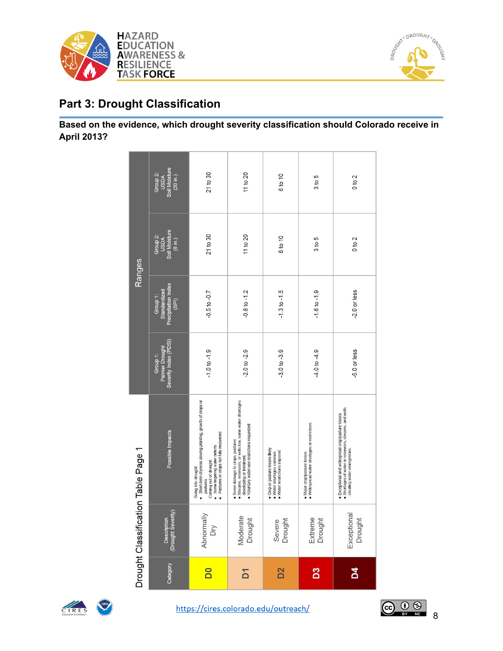



# **Part 3: Drought Classification**

## **Based on the evidence, which drought severity classification should Colorado receive in April 2013?**

|                |                                   | Drought Classification Table Page 1                                                                                                                                                                  |                                                     |                                                          | Ranges                                       |                                               |
|----------------|-----------------------------------|------------------------------------------------------------------------------------------------------------------------------------------------------------------------------------------------------|-----------------------------------------------------|----------------------------------------------------------|----------------------------------------------|-----------------------------------------------|
| Category       | (Drought Severity)<br>Description | Possible Impacts                                                                                                                                                                                     | Severity Index (PDSI)<br>Palmer Drought<br>Group 1: | Precipitation Index<br>Standardized<br>Group 1:<br>(SPI) | Group 2:<br>USDA<br>Soil Moisture<br>(8 in.) | Soil Moisture<br>Group 2:<br>USDA<br>(20 in.) |
| <b>DO</b>      | Abnormally<br>Dry                 | · Short-term dryness slowing planting, growth of crops or<br>· Pastures or crops not fully recovered<br>· Some lingering water deficits<br>Coming out of drought:<br>Going into drought:<br>pastures | $-1.0$ to $-1.9$                                    | $-0.5$ to $-0.7$                                         | 21 to 30                                     | 21 to 30                                      |
| δ              | Moderate<br>Drought               | ● Streams, reservoirs, or wells low, some water shortages<br>developing or imminent.<br>· Voluntary water-use restrictions requested<br>· Some damage to crops, pastures                             | $2.0$ to $2.9$                                      | $0.8$ to $-1.2$                                          | 11 to 20                                     | 11 to 20                                      |
| D <sub>2</sub> | Severe<br>Drought                 | . Crop or pasture losses likely<br>• Water restrictions imposed<br>• Water shortages common                                                                                                          | $-3.0$ to $-3.9$                                    | $-1.3$ to $-1.5$                                         | 6 to 10                                      | 6 to 10                                       |
| B3             | Extreme<br>Drought                | . Widespread water shortages or restrictions<br>· Major crop/pasture losses                                                                                                                          | $-4.0$ to $-4.9$                                    | $-1.6$ to $-1.9$                                         | 3 to 5                                       | 3 to 5                                        |
| <b>N</b>       | Exceptional<br>Drought            | · Shortages of water in reservoirs, streams, and wells<br>· Exceptional and widespread crop/pasture losses<br>creating water emergencies.                                                            | 5.0 or less                                         | -2.0 or less                                             | 0 to 2                                       | 0 to 2                                        |

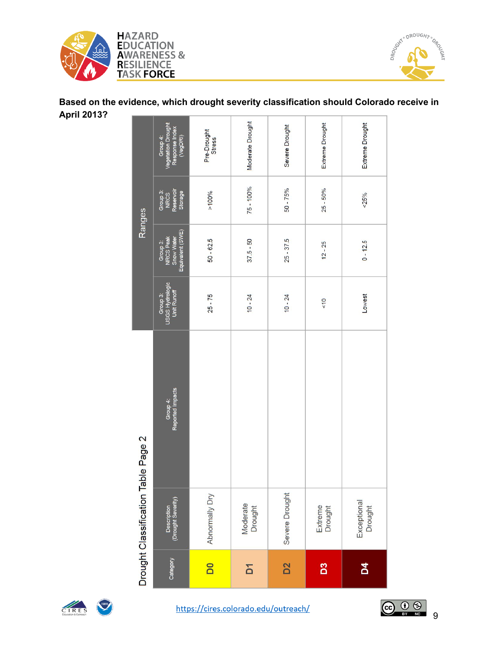



## **Based on the evidence, which drought severity classification should Colorado receive in April 2013?**

|                                     | Category                                                     | $\overline{\mathsf{D}}$      | $\overline{D}$      | D <sub>2</sub> | D <sub>3</sub>     | $\overline{a}$         |
|-------------------------------------|--------------------------------------------------------------|------------------------------|---------------------|----------------|--------------------|------------------------|
| Drought Classification Table Page 2 | (Drought Severity)<br>Description                            | Abnormally Dry               | Moderate<br>Drought | Severe Drought | Extreme<br>Drought | Exceptional<br>Drought |
|                                     | Group 4:<br>Reported Impacts                                 |                              |                     |                |                    |                        |
|                                     | Group 3:<br>USGS Hydrologic<br>Unit Runoff                   | $25 - 75$                    | $10 - 24$           | $10 - 24$      | $rac{1}{2}$        | <b>Lowest</b>          |
| Ranges                              | Equivalent (SWE)<br>Group 3:<br>NRCS Peak<br>Snow Water      | $50 - 62.5$                  | $37.5 - 50$         | $25 - 37.5$    | $12 - 25$          | 0.12.5                 |
|                                     | Group 3:<br>NRCS<br>Reservoir<br>Storage                     | $>100\%$                     | $75 - 100%$         | $50 - 75%$     | $25 - 50%$         | ${}^{25\%}$            |
|                                     | Vegetation Drought<br>Response Index<br>Group 4:<br>(VegDRI) | Pre-Drought<br><b>Stress</b> | Moderate Drought    | Severe Drought | Extreme Drought    | Extreme Drought        |



CIRES